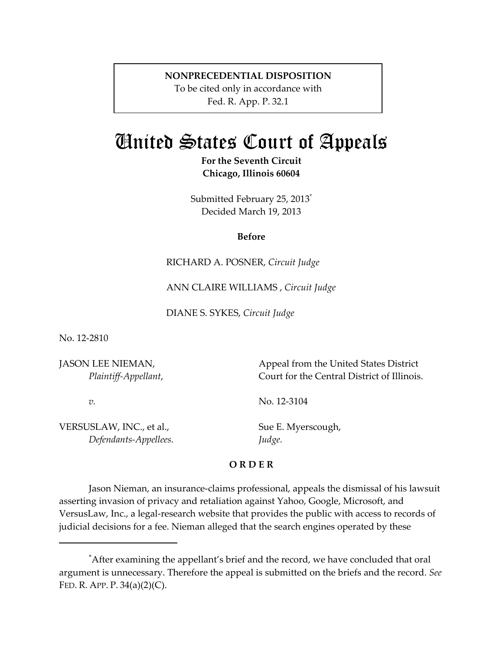## **NONPRECEDENTIAL DISPOSITION**

To be cited only in accordance with Fed. R. App. P. 32.1

## United States Court of Appeals

**For the Seventh Circuit Chicago, Illinois 60604**

Submitted February 25, 2013\* Decided March 19, 2013

## **Before**

RICHARD A. POSNER, *Circuit Judge*

ANN CLAIRE WILLIAMS , *Circuit Judge*

DIANE S. SYKES, *Circuit Judge*

No. 12‐2810

JASON LEE NIEMAN, *Plaintiff‐Appellant*,

*v.*

Appeal from the United States District Court for the Central District of Illinois.

No. 12‐3104

VERSUSLAW, INC., et al., *Defendants‐Appellees.* Sue E. Myerscough, *Judge.*

## **O R D E R**

Jason Nieman, an insurance‐claims professional, appeals the dismissal of his lawsuit asserting invasion of privacy and retaliation against Yahoo, Google, Microsoft, and VersusLaw, Inc., a legal‐research website that provides the public with access to records of judicial decisions for a fee. Nieman alleged that the search engines operated by these

<sup>\*</sup> After examining the appellant's brief and the record, we have concluded that oral argument is unnecessary. Therefore the appeal is submitted on the briefs and the record. *See* FED. R. APP. P. 34(a)(2)(C).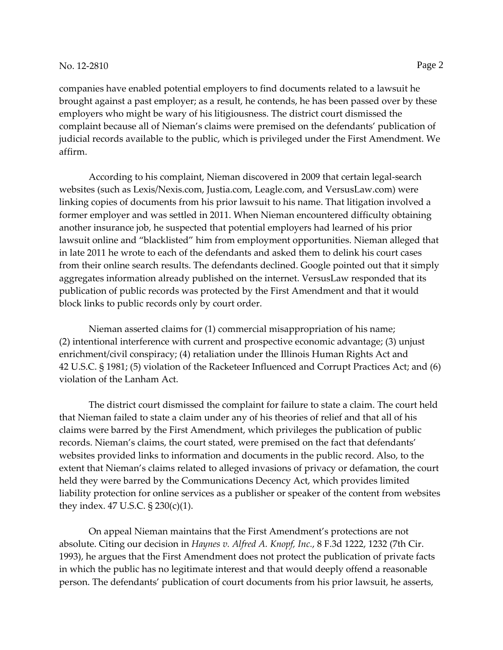companies have enabled potential employers to find documents related to a lawsuit he brought against a past employer; as a result, he contends, he has been passed over by these employers who might be wary of his litigiousness. The district court dismissed the complaint because all of Nieman's claims were premised on the defendants' publication of judicial records available to the public, which is privileged under the First Amendment. We affirm.

According to his complaint, Nieman discovered in 2009 that certain legal‐search websites (such as Lexis/Nexis.com, Justia.com, Leagle.com, and VersusLaw.com) were linking copies of documents from his prior lawsuit to his name. That litigation involved a former employer and was settled in 2011. When Nieman encountered difficulty obtaining another insurance job, he suspected that potential employers had learned of his prior lawsuit online and "blacklisted" him from employment opportunities. Nieman alleged that in late 2011 he wrote to each of the defendants and asked them to delink his court cases from their online search results. The defendants declined. Google pointed out that it simply aggregates information already published on the internet. VersusLaw responded that its publication of public records was protected by the First Amendment and that it would block links to public records only by court order.

Nieman asserted claims for (1) commercial misappropriation of his name; (2) intentional interference with current and prospective economic advantage; (3) unjust enrichment/civil conspiracy; (4) retaliation under the Illinois Human Rights Act and 42 U.S.C. § 1981; (5) violation of the Racketeer Influenced and Corrupt Practices Act; and (6) violation of the Lanham Act.

The district court dismissed the complaint for failure to state a claim. The court held that Nieman failed to state a claim under any of his theories of relief and that all of his claims were barred by the First Amendment, which privileges the publication of public records. Nieman's claims, the court stated, were premised on the fact that defendants' websites provided links to information and documents in the public record. Also, to the extent that Nieman's claims related to alleged invasions of privacy or defamation, the court held they were barred by the Communications Decency Act, which provides limited liability protection for online services as a publisher or speaker of the content from websites they index. 47 U.S.C. § 230(c)(1).

On appeal Nieman maintains that the First Amendment's protections are not absolute. Citing our decision in *Haynes v. Alfred A. Knopf, Inc.*, 8 F.3d 1222, 1232 (7th Cir. 1993), he argues that the First Amendment does not protect the publication of private facts in which the public has no legitimate interest and that would deeply offend a reasonable person. The defendants' publication of court documents from his prior lawsuit, he asserts,